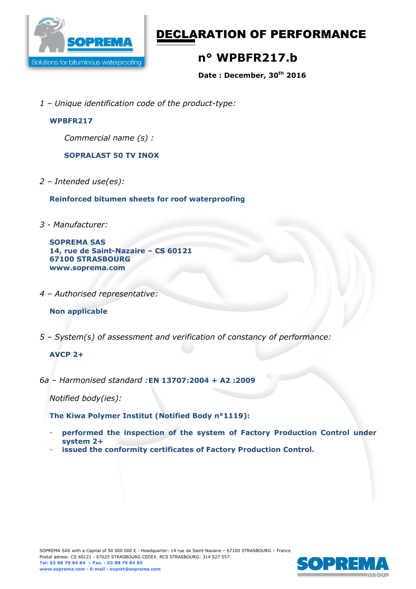

# DECLARATION OF PERFORMANCE

# **n° WPBFR217.b**

**Date : December, 30th 2016** 

*1 – Unique identification code of the product-type:*

#### **WPBFR217**

*Commercial name (s) :* 

**SOPRALAST 50 TV INOX** 

*2 – Intended use(es):* 

**Reinforced bitumen sheets for roof waterproofing** 

*3 - Manufacturer:* 

**SOPREMA SAS 14, rue de Saint-Nazaire – CS 60121 67100 STRASBOURG www.soprema.com** 

*4 – Authorised representative:* 

### **Non applicable**

*5 – System(s) of assessment and verification of constancy of performance:* 

### **AVCP 2+**

*6a – Harmonised standard :***EN 13707:2004 + A2 :2009**

*Notified body(ies):* 

**The Kiwa Polymer Institut (Notified Body n°1119):** 

- **performed the inspection of the system of Factory Production Control under system 2+**
- **issued the conformity certificates of Factory Production Control.**